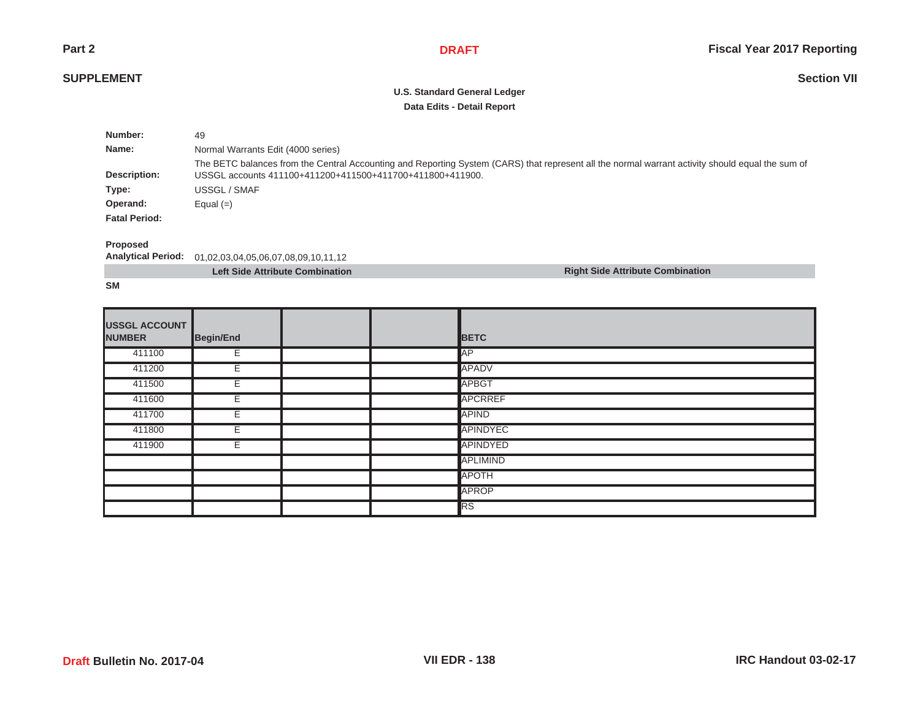**Right Side Attribute Combination**

**Section VII**

# **SUPPLEMENT**

# **U.S. Standard General Ledger Data Edits - Detail Report**

| Number:              | 49                                                                                                                                                                                                            |
|----------------------|---------------------------------------------------------------------------------------------------------------------------------------------------------------------------------------------------------------|
| Name:                | Normal Warrants Edit (4000 series)                                                                                                                                                                            |
| Description:         | The BETC balances from the Central Accounting and Reporting System (CARS) that represent all the normal warrant activity should equal the sum of<br>USSGL accounts 411100+411200+411500+411700+411800+411900. |
| Type:                | USSGL / SMAF                                                                                                                                                                                                  |
| Operand:             | Equal $(=)$                                                                                                                                                                                                   |
| <b>Fatal Period:</b> |                                                                                                                                                                                                               |

#### **Proposed**

**Analytical Period:** 01,02,03,04,05,06,07,08,09,10,11,12

| <b>Left Side Attribute Combination</b> |  |  |
|----------------------------------------|--|--|
|----------------------------------------|--|--|

**SM**

| <b>USSGL ACCOUNT</b><br><b>NUMBER</b> | Begin/End |  | <b>BETC</b>     |
|---------------------------------------|-----------|--|-----------------|
| 411100                                | E.        |  | <b>IAP</b>      |
| 411200                                | E         |  | <b>APADV</b>    |
| 411500                                | E         |  | <b>APBGT</b>    |
| 411600                                | E         |  | <b>APCRREF</b>  |
| 411700                                | E         |  | <b>APIND</b>    |
| 411800                                | E         |  | <b>APINDYEC</b> |
| 411900                                | E         |  | <b>APINDYED</b> |
|                                       |           |  | <b>APLIMIND</b> |
|                                       |           |  | <b>APOTH</b>    |
|                                       |           |  | <b>APROP</b>    |
|                                       |           |  | RS              |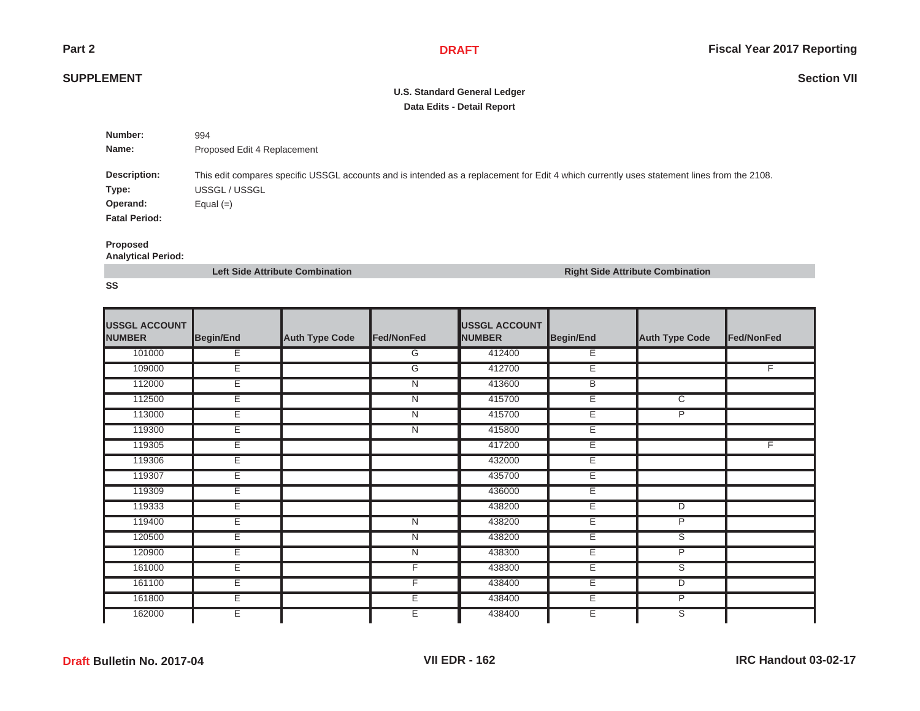## **SUPPLEMENT**

# **U.S. Standard General Ledger Data Edits - Detail Report**

| Number:              | 994                                                                                                                                        |
|----------------------|--------------------------------------------------------------------------------------------------------------------------------------------|
| Name:                | Proposed Edit 4 Replacement                                                                                                                |
|                      |                                                                                                                                            |
| Description:         | This edit compares specific USSGL accounts and is intended as a replacement for Edit 4 which currently uses statement lines from the 2108. |
| Type:                | USSGL / USSGL                                                                                                                              |
| Operand:             | Equal $(=)$                                                                                                                                |
| <b>Fatal Period:</b> |                                                                                                                                            |
|                      |                                                                                                                                            |

### **Proposed**

**Analytical Period:**

**Left Side Attribute Combination Right Side Attribute Combination**

| <b>USSGL ACCOUNT</b><br><b>NUMBER</b> | Begin/End | <b>Auth Type Code</b> | Fed/NonFed     | <b>USSGL ACCOUNT</b><br><b>NUMBER</b> | <b>Begin/End</b> | <b>Auth Type Code</b>   | Fed/NonFed |
|---------------------------------------|-----------|-----------------------|----------------|---------------------------------------|------------------|-------------------------|------------|
| 101000                                | Е         |                       | G              | 412400                                | Е                |                         |            |
| 109000                                | Е         |                       | G              | 412700                                | Е                |                         | F.         |
| 112000                                | Е         |                       | N              | 413600                                | B                |                         |            |
| 112500                                | Ε         |                       | $\overline{N}$ | 415700                                | Ε                | $\overline{\text{c}}$   |            |
| 113000                                | Е         |                       | N              | 415700                                | Е                | P                       |            |
| 119300                                | Е         |                       | N              | 415800                                | E                |                         |            |
| 119305                                | Е         |                       |                | 417200                                | Е                |                         | F.         |
| 119306                                | Е         |                       |                | 432000                                | Е                |                         |            |
| 119307                                | Ε         |                       |                | 435700                                | Ε                |                         |            |
| 119309                                | Е         |                       |                | 436000                                | Е                |                         |            |
| 119333                                | Е         |                       |                | 438200                                | Е                | D                       |            |
| 119400                                | Е         |                       | N              | 438200                                | Е                | P                       |            |
| 120500                                | Е         |                       | N              | 438200                                | Е                | S                       |            |
| 120900                                | Ε         |                       | $\overline{N}$ | 438300                                | Ε                | P                       |            |
| 161000                                | Ε         |                       | F              | 438300                                | Ε                | ड                       |            |
| 161100                                | Е         |                       | F              | 438400                                | Е                | D                       |            |
| 161800                                | Е         |                       | Е              | 438400                                | E                | P                       |            |
| 162000                                | Е         |                       | Е              | 438400                                | Ε                | $\overline{\mathsf{s}}$ |            |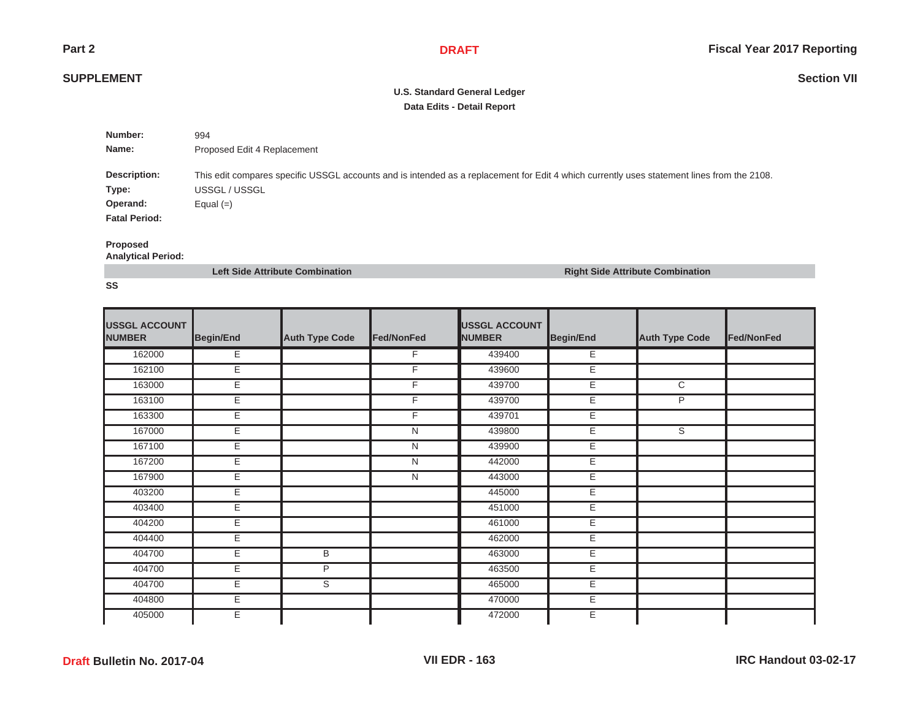## **SUPPLEMENT**

# **U.S. Standard General Ledger Data Edits - Detail Report**

| Number:                                                   | 994                                                                                                                                                                        |
|-----------------------------------------------------------|----------------------------------------------------------------------------------------------------------------------------------------------------------------------------|
| Name:                                                     | Proposed Edit 4 Replacement                                                                                                                                                |
| Description:<br>Type:<br>Operand:<br><b>Fatal Period:</b> | This edit compares specific USSGL accounts and is intended as a replacement for Edit 4 which currently uses statement lines from the 2108.<br>USSGL / USSGL<br>Equal $(=)$ |

### **Proposed**

**Analytical Period:**

**Left Side Attribute Combination Right Side Attribute Combination**

| <b>USSGL ACCOUNT</b><br><b>NUMBER</b> | <b>Begin/End</b> | <b>Auth Type Code</b> | Fed/NonFed     | <b>USSGL ACCOUNT</b><br><b>NUMBER</b> | <b>Begin/End</b> | <b>Auth Type Code</b> | Fed/NonFed |
|---------------------------------------|------------------|-----------------------|----------------|---------------------------------------|------------------|-----------------------|------------|
| 162000                                | Ε                |                       | F              | 439400                                | Е                |                       |            |
| 162100                                | Έ                |                       | F              | 439600                                | E                |                       |            |
| 163000                                | Е                |                       | F              | 439700                                | E                | C                     |            |
| 163100                                | Е                |                       | F              | 439700                                | E                | P                     |            |
| 163300                                | Ε                |                       | F.             | 439701                                | Е                |                       |            |
| 167000                                | Е                |                       | N              | 439800                                | Е                | S                     |            |
| 167100                                | E                |                       | $\overline{N}$ | 439900                                | Έ                |                       |            |
| 167200                                | Е                |                       | N              | 442000                                | Е                |                       |            |
| 167900                                | Е                |                       | N              | 443000                                | E                |                       |            |
| 403200                                | Ε                |                       |                | 445000                                | Е                |                       |            |
| 403400                                | E                |                       |                | 451000                                | Е                |                       |            |
| 404200                                | Ε                |                       |                | 461000                                | Ε                |                       |            |
| 404400                                | Е                |                       |                | 462000                                | E                |                       |            |
| 404700                                | Е                | В                     |                | 463000                                | E                |                       |            |
| 404700                                | Ε                | $\overline{P}$        |                | 463500                                | E                |                       |            |
| 404700                                | Е                | S                     |                | 465000                                | Е                |                       |            |
| 404800                                | Ε                |                       |                | 470000                                | Ε                |                       |            |
| 405000                                | Е                |                       |                | 472000                                | E                |                       |            |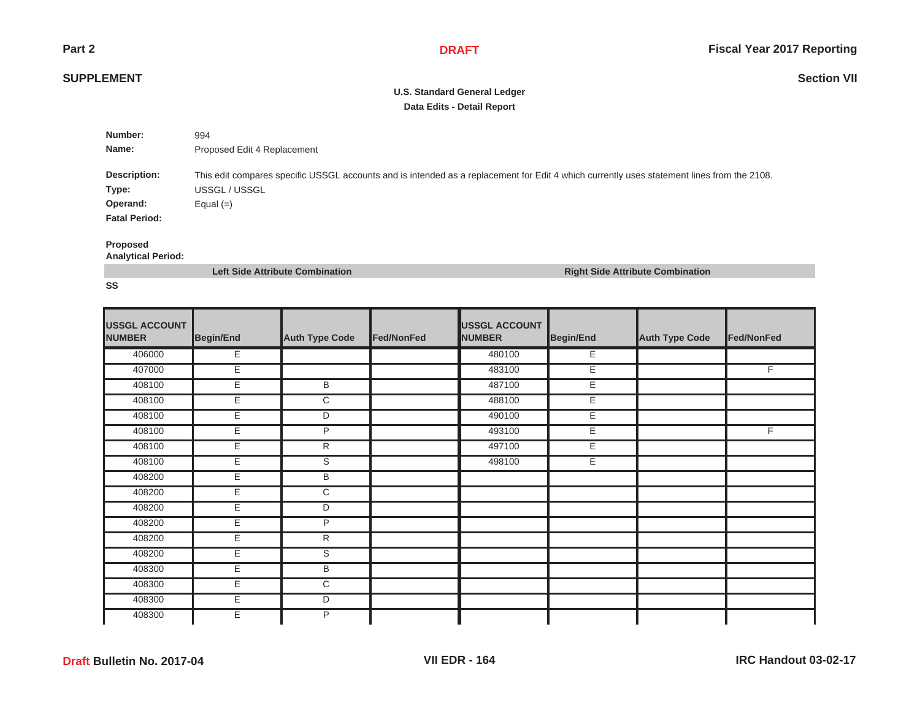## **SUPPLEMENT**

# **U.S. Standard General Ledger Data Edits - Detail Report**

| Number:                                                   | 994                                                                                                                                                                        |
|-----------------------------------------------------------|----------------------------------------------------------------------------------------------------------------------------------------------------------------------------|
| Name:                                                     | Proposed Edit 4 Replacement                                                                                                                                                |
| Description:<br>Type:<br>Operand:<br><b>Fatal Period:</b> | This edit compares specific USSGL accounts and is intended as a replacement for Edit 4 which currently uses statement lines from the 2108.<br>USSGL / USSGL<br>Equal $(=)$ |

### **Proposed**

**Analytical Period:**

**Left Side Attribute Combination Right Side Attribute Combination**

| <b>USSGL ACCOUNT</b><br><b>NUMBER</b> | Begin/End | <b>Auth Type Code</b>   | Fed/NonFed | <b>USSGL ACCOUNT</b><br><b>NUMBER</b> | <b>Begin/End</b> | <b>Auth Type Code</b> | Fed/NonFed     |
|---------------------------------------|-----------|-------------------------|------------|---------------------------------------|------------------|-----------------------|----------------|
| 406000                                | Е         |                         |            | 480100                                | Е                |                       |                |
| 407000                                | Έ         |                         |            | 483100                                | Ε                |                       | F              |
| 408100                                | Е         | В                       |            | 487100                                | Е                |                       |                |
| 408100                                | E         | $\overline{\text{c}}$   |            | 488100                                | Е                |                       |                |
| 408100                                | Е         | D                       |            | 490100                                | Е                |                       |                |
| 408100                                | Е         | P                       |            | 493100                                | Е                |                       | $\overline{F}$ |
| 408100                                | Ε         | $\overline{R}$          |            | 497100                                | Ε                |                       |                |
| 408100                                | Е         | S                       |            | 498100                                | Е                |                       |                |
| 408200                                | Е         | $\overline{B}$          |            |                                       |                  |                       |                |
| 408200                                | Е         | $\overline{\text{c}}$   |            |                                       |                  |                       |                |
| 408200                                | Е         | D                       |            |                                       |                  |                       |                |
| 408200                                | Ε         | P                       |            |                                       |                  |                       |                |
| 408200                                | Е         | R                       |            |                                       |                  |                       |                |
| 408200                                | Е         | $\overline{\mathsf{s}}$ |            |                                       |                  |                       |                |
| 408300                                | Е         | В                       |            |                                       |                  |                       |                |
| 408300                                | Е         | C                       |            |                                       |                  |                       |                |
| 408300                                | E.        | D                       |            |                                       |                  |                       |                |
| 408300                                | Е         | P                       |            |                                       |                  |                       |                |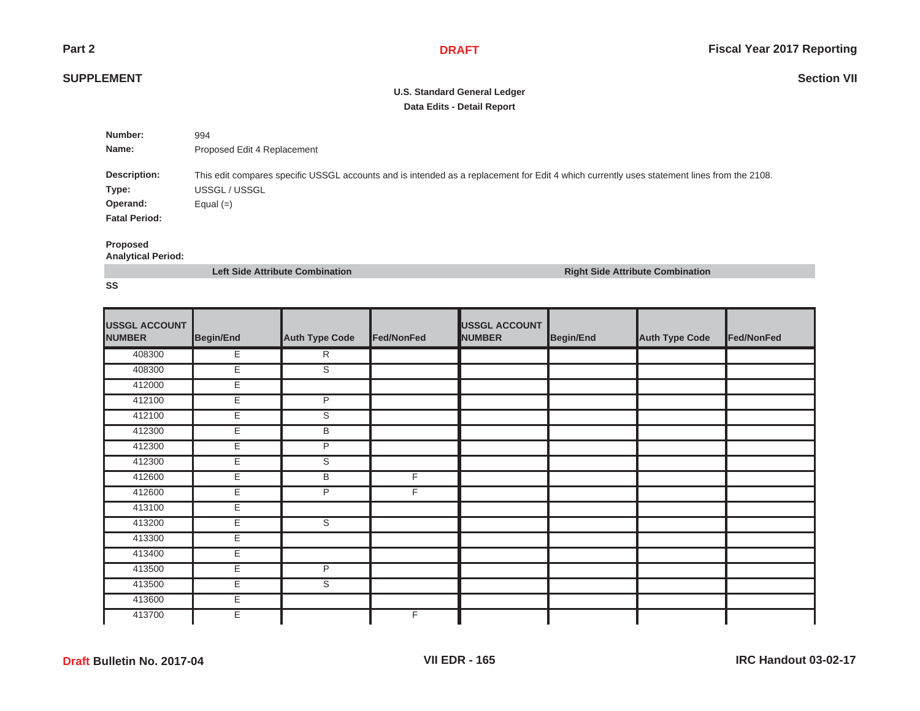## **SUPPLEMENT**

# **U.S. Standard General Ledger Data Edits - Detail Report**

| Number:                                                   | 994                                                                                                                                                                        |
|-----------------------------------------------------------|----------------------------------------------------------------------------------------------------------------------------------------------------------------------------|
| Name:                                                     | Proposed Edit 4 Replacement                                                                                                                                                |
| Description:<br>Type:<br>Operand:<br><b>Fatal Period:</b> | This edit compares specific USSGL accounts and is intended as a replacement for Edit 4 which currently uses statement lines from the 2108.<br>USSGL / USSGL<br>Equal $(=)$ |

#### **Proposed**

**Analytical Period:**

**Left Side Attribute Combination Right Side Attribute Combination**

| <b>USSGL ACCOUNT</b><br><b>NUMBER</b> | Begin/End | <b>Auth Type Code</b>   | Fed/NonFed | <b>USSGL ACCOUNT</b><br><b>NUMBER</b> | Begin/End | <b>Auth Type Code</b> | Fed/NonFed |
|---------------------------------------|-----------|-------------------------|------------|---------------------------------------|-----------|-----------------------|------------|
| 408300                                | E         | $\overline{R}$          |            |                                       |           |                       |            |
| 408300                                | E         | S                       |            |                                       |           |                       |            |
| 412000                                | E         |                         |            |                                       |           |                       |            |
| 412100                                | E         | P                       |            |                                       |           |                       |            |
| 412100                                | E         | $\overline{\mathsf{s}}$ |            |                                       |           |                       |            |
| 412300                                | E         | B                       |            |                                       |           |                       |            |
| 412300                                | Е         | P                       |            |                                       |           |                       |            |
| 412300                                | E         | S                       |            |                                       |           |                       |            |
| 412600                                | E         | B                       | F          |                                       |           |                       |            |
| 412600                                | E         | P                       | F          |                                       |           |                       |            |
| 413100                                | E         |                         |            |                                       |           |                       |            |
| 413200                                | E         | ड                       |            |                                       |           |                       |            |
| 413300                                | Ε         |                         |            |                                       |           |                       |            |
| 413400                                | E         |                         |            |                                       |           |                       |            |
| 413500                                | E         | $\overline{P}$          |            |                                       |           |                       |            |
| 413500                                | E         | ड                       |            |                                       |           |                       |            |
| 413600                                | E         |                         |            |                                       |           |                       |            |
| 413700                                | E         |                         | F          |                                       |           |                       |            |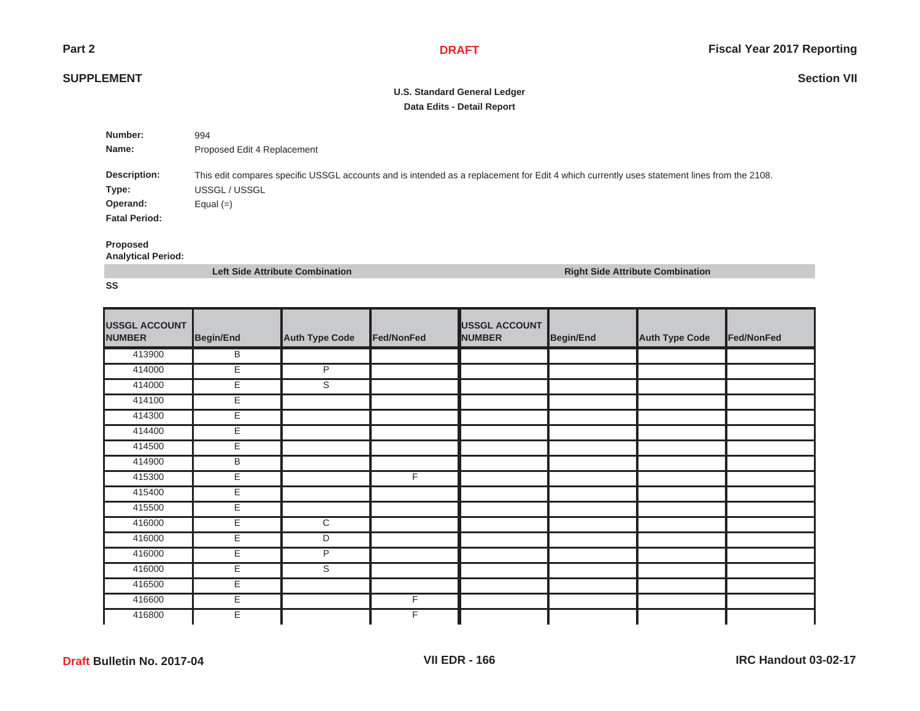## **SUPPLEMENT**

# **U.S. Standard General Ledger Data Edits - Detail Report**

| Number:              | 994                                                                                                                                        |
|----------------------|--------------------------------------------------------------------------------------------------------------------------------------------|
| Name:                | Proposed Edit 4 Replacement                                                                                                                |
|                      |                                                                                                                                            |
|                      | This edit compares specific USSGL accounts and is intended as a replacement for Edit 4 which currently uses statement lines from the 2108. |
| Type:                | USSGL / USSGL                                                                                                                              |
| Operand:             | Equal $(=)$                                                                                                                                |
| <b>Fatal Period:</b> |                                                                                                                                            |
| Description:         |                                                                                                                                            |

#### **Proposed**

**Analytical Period:**

**Left Side Attribute Combination Right Side Attribute Combination**

| <b>USSGL ACCOUNT</b><br><b>NUMBER</b> | Begin/End | <b>Auth Type Code</b> | Fed/NonFed     | <b>USSGL ACCOUNT</b><br><b>NUMBER</b> | <b>Begin/End</b> | <b>Auth Type Code</b> | Fed/NonFed |
|---------------------------------------|-----------|-----------------------|----------------|---------------------------------------|------------------|-----------------------|------------|
| 413900                                | В         |                       |                |                                       |                  |                       |            |
| 414000                                | Έ         | P                     |                |                                       |                  |                       |            |
| 414000                                | Е         | S                     |                |                                       |                  |                       |            |
| 414100                                | E         |                       |                |                                       |                  |                       |            |
| 414300                                | E         |                       |                |                                       |                  |                       |            |
| 414400                                | E         |                       |                |                                       |                  |                       |            |
| 414500                                | Ε         |                       |                |                                       |                  |                       |            |
| 414900                                | В         |                       |                |                                       |                  |                       |            |
| 415300                                | E         |                       | $\overline{F}$ |                                       |                  |                       |            |
| 415400                                | E         |                       |                |                                       |                  |                       |            |
| 415500                                | Е         |                       |                |                                       |                  |                       |            |
| 416000                                | Ε         | $\overline{C}$        |                |                                       |                  |                       |            |
| 416000                                | E         | D                     |                |                                       |                  |                       |            |
| 416000                                | Е         | $\overline{P}$        |                |                                       |                  |                       |            |
| 416000                                | Е         | S                     |                |                                       |                  |                       |            |
| 416500                                | Е         |                       |                |                                       |                  |                       |            |
| 416600                                | Ε         |                       | F.             |                                       |                  |                       |            |
| 416800                                | Е         |                       | F              |                                       |                  |                       |            |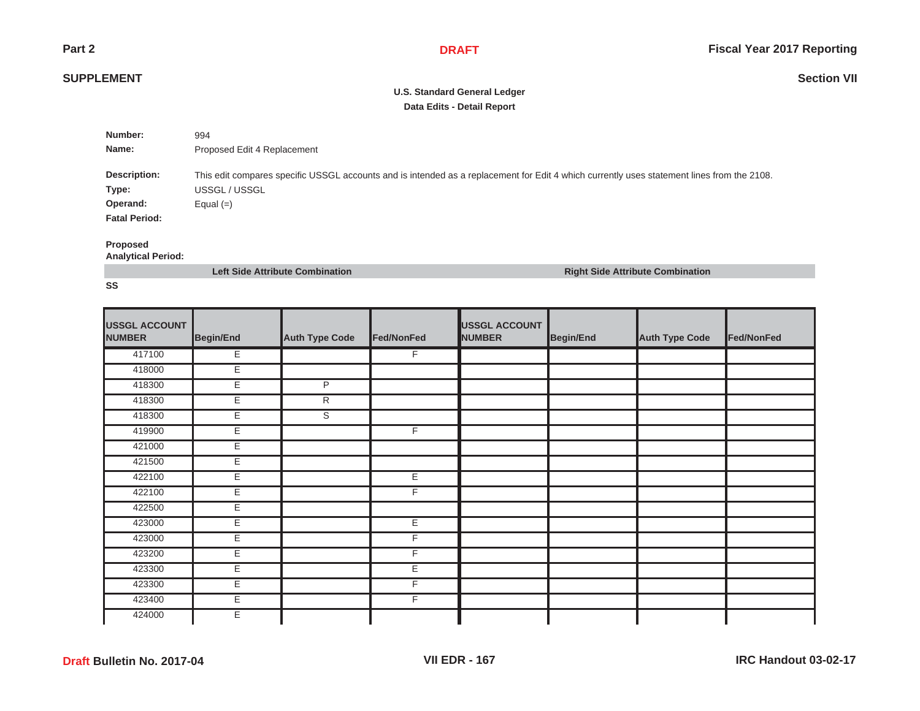## **SUPPLEMENT**

# **U.S. Standard General Ledger Data Edits - Detail Report**

| Number:              | 994                                                                                                                                        |
|----------------------|--------------------------------------------------------------------------------------------------------------------------------------------|
| Name:                | Proposed Edit 4 Replacement                                                                                                                |
|                      |                                                                                                                                            |
| Description:         | This edit compares specific USSGL accounts and is intended as a replacement for Edit 4 which currently uses statement lines from the 2108. |
| Type:                | USSGL / USSGL                                                                                                                              |
| Operand:             | Equal $(=)$                                                                                                                                |
| <b>Fatal Period:</b> |                                                                                                                                            |
|                      |                                                                                                                                            |

### **Proposed**

**Analytical Period:**

**Left Side Attribute Combination Right Side Attribute Combination**

| <b>USSGL ACCOUNT</b><br><b>NUMBER</b> | Begin/End | <b>Auth Type Code</b> | Fed/NonFed     | <b>USSGL ACCOUNT</b><br><b>NUMBER</b> | <b>Begin/End</b> | <b>Auth Type Code</b> | Fed/NonFed |
|---------------------------------------|-----------|-----------------------|----------------|---------------------------------------|------------------|-----------------------|------------|
| 417100                                | Ε         |                       | F              |                                       |                  |                       |            |
| 418000                                | Ε         |                       |                |                                       |                  |                       |            |
| 418300                                | Е         | P                     |                |                                       |                  |                       |            |
| 418300                                | E         | $\overline{R}$        |                |                                       |                  |                       |            |
| 418300                                | E         | $\overline{s}$        |                |                                       |                  |                       |            |
| 419900                                | E         |                       | $\overline{F}$ |                                       |                  |                       |            |
| 421000                                | Ε         |                       |                |                                       |                  |                       |            |
| 421500                                | E         |                       |                |                                       |                  |                       |            |
| 422100                                | E         |                       | E              |                                       |                  |                       |            |
| 422100                                | Е         |                       | F              |                                       |                  |                       |            |
| 422500                                | E         |                       |                |                                       |                  |                       |            |
| 423000                                | Ε         |                       | Ε              |                                       |                  |                       |            |
| 423000                                | Ε         |                       | F              |                                       |                  |                       |            |
| 423200                                | Е         |                       | F              |                                       |                  |                       |            |
| 423300                                | Е         |                       | Ε              |                                       |                  |                       |            |
| 423300                                | E         |                       | F              |                                       |                  |                       |            |
| 423400                                | E.        |                       | F              |                                       |                  |                       |            |
| 424000                                | Е         |                       |                |                                       |                  |                       |            |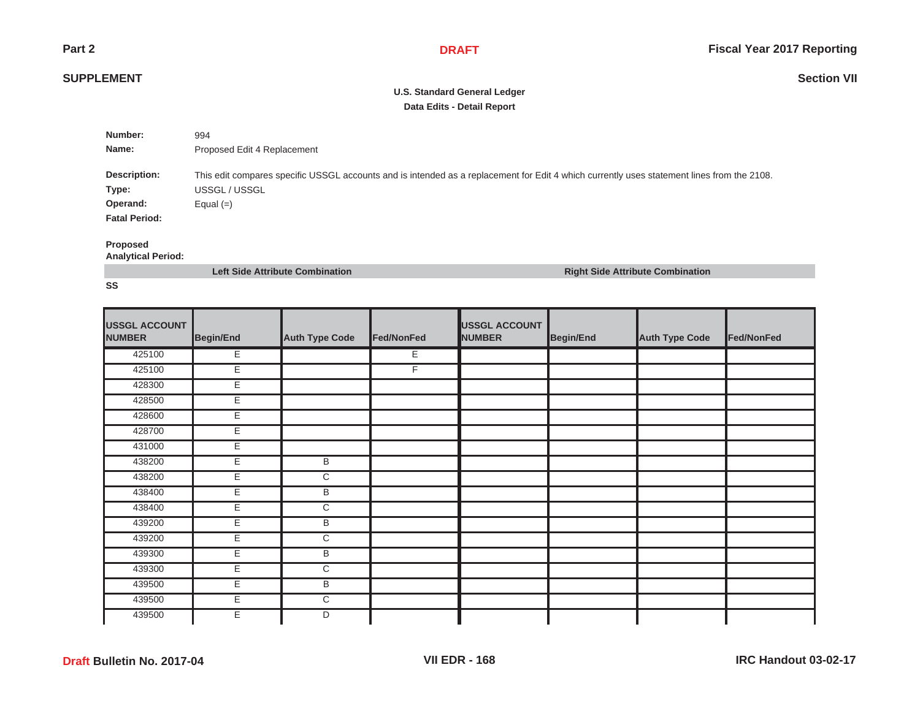## **SUPPLEMENT**

# **U.S. Standard General Ledger Data Edits - Detail Report**

| Number:              | 994                                                                                                                                        |
|----------------------|--------------------------------------------------------------------------------------------------------------------------------------------|
| Name:                | Proposed Edit 4 Replacement                                                                                                                |
|                      |                                                                                                                                            |
| Description:         | This edit compares specific USSGL accounts and is intended as a replacement for Edit 4 which currently uses statement lines from the 2108. |
| Type:                | USSGL / USSGL                                                                                                                              |
| Operand:             | Equal $(=)$                                                                                                                                |
| <b>Fatal Period:</b> |                                                                                                                                            |
|                      |                                                                                                                                            |

### **Proposed**

**Analytical Period:**

**Left Side Attribute Combination Right Side Attribute Combination**

| <b>USSGL ACCOUNT</b><br><b>NUMBER</b> | Begin/End | <b>Auth Type Code</b> | Fed/NonFed | <b>USSGL ACCOUNT</b><br><b>NUMBER</b> | <b>Begin/End</b> | <b>Auth Type Code</b> | Fed/NonFed |
|---------------------------------------|-----------|-----------------------|------------|---------------------------------------|------------------|-----------------------|------------|
| 425100                                | Ε         |                       | Е          |                                       |                  |                       |            |
| 425100                                | Ε         |                       | F          |                                       |                  |                       |            |
| 428300                                | Е         |                       |            |                                       |                  |                       |            |
| 428500                                | E         |                       |            |                                       |                  |                       |            |
| 428600                                | E         |                       |            |                                       |                  |                       |            |
| 428700                                | E         |                       |            |                                       |                  |                       |            |
| 431000                                | Ε         |                       |            |                                       |                  |                       |            |
| 438200                                | E         | B                     |            |                                       |                  |                       |            |
| 438200                                | Е         | $\overline{\text{c}}$ |            |                                       |                  |                       |            |
| 438400                                | Е         | В                     |            |                                       |                  |                       |            |
| 438400                                | Е         | $\overline{\text{c}}$ |            |                                       |                  |                       |            |
| 439200                                | Ε         | B                     |            |                                       |                  |                       |            |
| 439200                                | Ε         | $\overline{\text{c}}$ |            |                                       |                  |                       |            |
| 439300                                | Е         | B                     |            |                                       |                  |                       |            |
| 439300                                | Е         | C                     |            |                                       |                  |                       |            |
| 439500                                | E         | B                     |            |                                       |                  |                       |            |
| 439500                                | E.        | C                     |            |                                       |                  |                       |            |
| 439500                                | Е         | D                     |            |                                       |                  |                       |            |